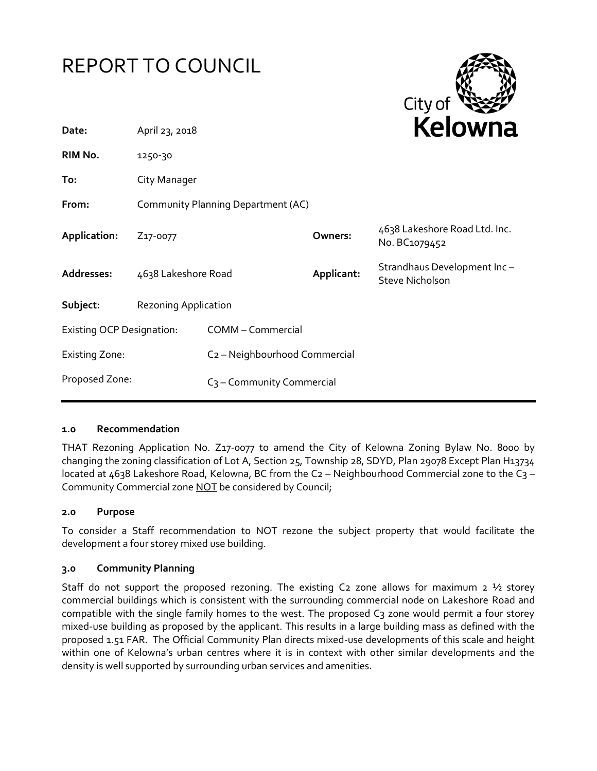



| Date:                            | April 23, 2018                     |                                           |            | <b>NEIUWH</b> d                                       |
|----------------------------------|------------------------------------|-------------------------------------------|------------|-------------------------------------------------------|
| RIM No.                          | 1250-30                            |                                           |            |                                                       |
| To:                              | City Manager                       |                                           |            |                                                       |
| From:                            | Community Planning Department (AC) |                                           |            |                                                       |
| Application:                     | Z <sub>17</sub> -0077              |                                           | Owners:    | 4638 Lakeshore Road Ltd. Inc.<br>No. BC1079452        |
| Addresses:                       | 4638 Lakeshore Road                |                                           | Applicant: | Strandhaus Development Inc-<br><b>Steve Nicholson</b> |
| Subject:                         | <b>Rezoning Application</b>        |                                           |            |                                                       |
| <b>Existing OCP Designation:</b> |                                    | COMM - Commercial                         |            |                                                       |
| <b>Existing Zone:</b>            |                                    | C <sub>2</sub> - Neighbourhood Commercial |            |                                                       |
| Proposed Zone:                   |                                    | C <sub>3</sub> - Community Commercial     |            |                                                       |

#### **1.0 Recommendation**

THAT Rezoning Application No. Z17-0077 to amend the City of Kelowna Zoning Bylaw No. 8000 by changing the zoning classification of Lot A, Section 25, Township 28, SDYD, Plan 29078 Except Plan H13734 located at  $4638$  Lakeshore Road, Kelowna, BC from the C2 – Neighbourhood Commercial zone to the C3 – Community Commercial zone NOT be considered by Council;

### **2.0 Purpose**

To consider a Staff recommendation to NOT rezone the subject property that would facilitate the development a four storey mixed use building.

#### **3.0 Community Planning**

Staff do not support the proposed rezoning. The existing C2 zone allows for maximum 2  $\frac{1}{2}$  storey commercial buildings which is consistent with the surrounding commercial node on Lakeshore Road and compatible with the single family homes to the west. The proposed C<sub>3</sub> zone would permit a four storey mixed-use building as proposed by the applicant. This results in a large building mass as defined with the proposed 1.51 FAR. The Official Community Plan directs mixed-use developments of this scale and height within one of Kelowna's urban centres where it is in context with other similar developments and the density is well supported by surrounding urban services and amenities.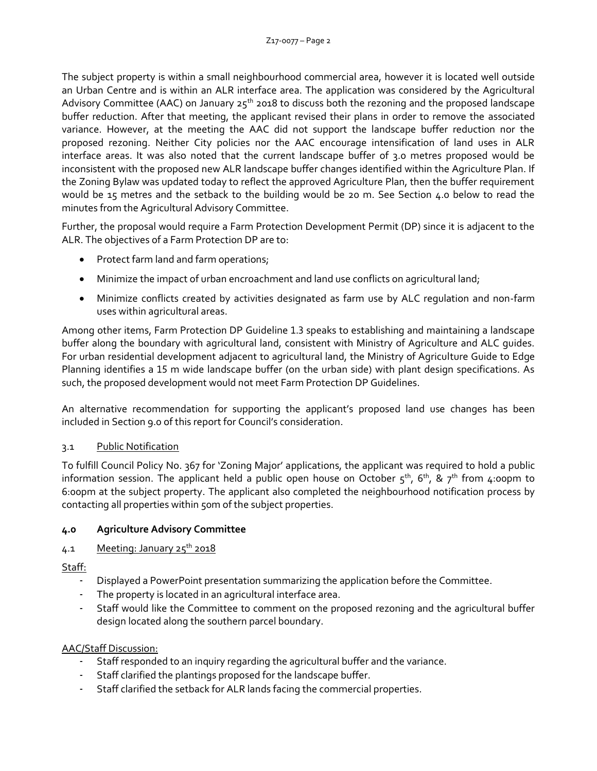The subject property is within a small neighbourhood commercial area, however it is located well outside an Urban Centre and is within an ALR interface area. The application was considered by the Agricultural Advisory Committee (AAC) on January  $25<sup>th</sup>$  2018 to discuss both the rezoning and the proposed landscape buffer reduction. After that meeting, the applicant revised their plans in order to remove the associated variance. However, at the meeting the AAC did not support the landscape buffer reduction nor the proposed rezoning. Neither City policies nor the AAC encourage intensification of land uses in ALR interface areas. It was also noted that the current landscape buffer of 3.0 metres proposed would be inconsistent with the proposed new ALR landscape buffer changes identified within the Agriculture Plan. If the Zoning Bylaw was updated today to reflect the approved Agriculture Plan, then the buffer requirement would be 15 metres and the setback to the building would be 20 m. See Section 4.0 below to read the minutes from the Agricultural Advisory Committee.

Further, the proposal would require a Farm Protection Development Permit (DP) since it is adjacent to the ALR. The objectives of a Farm Protection DP are to:

- Protect farm land and farm operations;
- Minimize the impact of urban encroachment and land use conflicts on agricultural land;
- Minimize conflicts created by activities designated as farm use by ALC regulation and non-farm uses within agricultural areas.

Among other items, Farm Protection DP Guideline 1.3 speaks to establishing and maintaining a landscape buffer along the boundary with agricultural land, consistent with Ministry of Agriculture and ALC guides. For urban residential development adjacent to agricultural land, the Ministry of Agriculture Guide to Edge Planning identifies a 15 m wide landscape buffer (on the urban side) with plant design specifications. As such, the proposed development would not meet Farm Protection DP Guidelines.

An alternative recommendation for supporting the applicant's proposed land use changes has been included in Section 9.0 of this report for Council's consideration.

# 3.1 Public Notification

To fulfill Council Policy No. 367 for 'Zoning Major' applications, the applicant was required to hold a public information session. The applicant held a public open house on October  $5^{th}$ ,  $6^{th}$ , &  $7^{th}$  from 4:00pm to 6:00pm at the subject property. The applicant also completed the neighbourhood notification process by contacting all properties within 50m of the subject properties.

# **4.0 Agriculture Advisory Committee**

# 4.1 Meeting: January 25<sup>th</sup> 2018

Staff:

- Displayed a PowerPoint presentation summarizing the application before the Committee.
- The property is located in an agricultural interface area.
- Staff would like the Committee to comment on the proposed rezoning and the agricultural buffer design located along the southern parcel boundary.

# AAC/Staff Discussion:

- Staff responded to an inquiry regarding the agricultural buffer and the variance.
- Staff clarified the plantings proposed for the landscape buffer.
- Staff clarified the setback for ALR lands facing the commercial properties.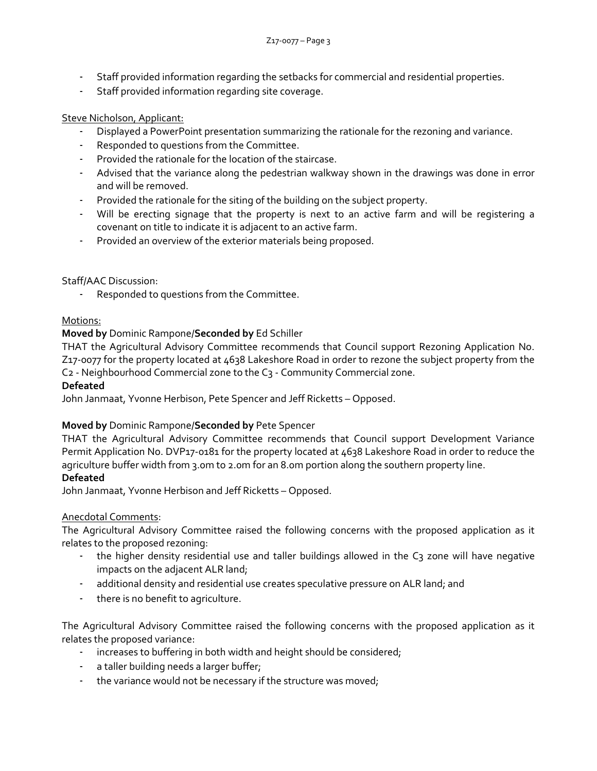- Staff provided information regarding the setbacks for commercial and residential properties.
- Staff provided information regarding site coverage.

### Steve Nicholson, Applicant:

- Displayed a PowerPoint presentation summarizing the rationale for the rezoning and variance.
- Responded to questions from the Committee.
- Provided the rationale for the location of the staircase.
- Advised that the variance along the pedestrian walkway shown in the drawings was done in error and will be removed.
- Provided the rationale for the siting of the building on the subject property.
- Will be erecting signage that the property is next to an active farm and will be registering a covenant on title to indicate it is adjacent to an active farm.
- Provided an overview of the exterior materials being proposed.

### Staff/AAC Discussion:

Responded to questions from the Committee.

### Motions:

### **Moved by** Dominic Rampone/**Seconded by** Ed Schiller

THAT the Agricultural Advisory Committee recommends that Council support Rezoning Application No. Z17-0077 for the property located at 4638 Lakeshore Road in order to rezone the subject property from the C2 - Neighbourhood Commercial zone to the C3 - Community Commercial zone.

#### **Defeated**

John Janmaat, Yvonne Herbison, Pete Spencer and Jeff Ricketts – Opposed.

### **Moved by** Dominic Rampone/**Seconded by** Pete Spencer

THAT the Agricultural Advisory Committee recommends that Council support Development Variance Permit Application No. DVP17-0181 for the property located at 4638 Lakeshore Road in order to reduce the agriculture buffer width from 3.0m to 2.0m for an 8.0m portion along the southern property line.

### **Defeated**

John Janmaat, Yvonne Herbison and Jeff Ricketts – Opposed.

### Anecdotal Comments:

The Agricultural Advisory Committee raised the following concerns with the proposed application as it relates to the proposed rezoning:

- the higher density residential use and taller buildings allowed in the C3 zone will have negative impacts on the adjacent ALR land;
- additional density and residential use creates speculative pressure on ALR land; and
- there is no benefit to agriculture.

The Agricultural Advisory Committee raised the following concerns with the proposed application as it relates the proposed variance:

- increases to buffering in both width and height should be considered;
- a taller building needs a larger buffer;
- the variance would not be necessary if the structure was moved;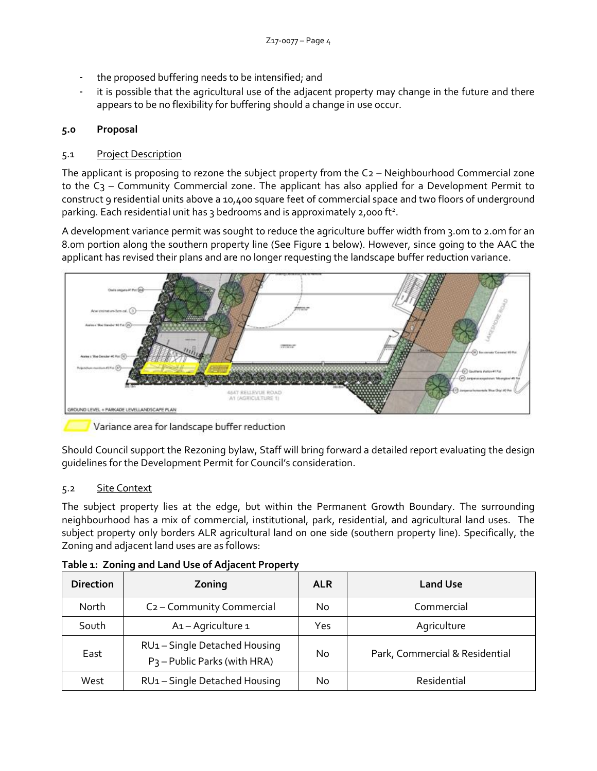- the proposed buffering needs to be intensified; and
- it is possible that the agricultural use of the adjacent property may change in the future and there appears to be no flexibility for buffering should a change in use occur.

# **5.0 Proposal**

# 5.1 Project Description

The applicant is proposing to rezone the subject property from the C2 – Neighbourhood Commercial zone to the C<sub>3</sub> – Community Commercial zone. The applicant has also applied for a Development Permit to construct 9 residential units above a 10,400 square feet of commercial space and two floors of underground parking. Each residential unit has 3 bedrooms and is approximately 2,000 ft<sup>2</sup>.

A development variance permit was sought to reduce the agriculture buffer width from 3.0m to 2.0m for an 8.0m portion along the southern property line (See Figure 1 below). However, since going to the AAC the applicant has revised their plans and are no longer requesting the landscape buffer reduction variance.



Variance area for landscape buffer reduction

Should Council support the Rezoning bylaw, Staff will bring forward a detailed report evaluating the design guidelines for the Development Permit for Council's consideration.

# 5.2 Site Context

The subject property lies at the edge, but within the Permanent Growth Boundary. The surrounding neighbourhood has a mix of commercial, institutional, park, residential, and agricultural land uses. The subject property only borders ALR agricultural land on one side (southern property line). Specifically, the Zoning and adjacent land uses are as follows:

| <b>Direction</b> | Zoning                                                                    | <b>ALR</b> | <b>Land Use</b>                |
|------------------|---------------------------------------------------------------------------|------------|--------------------------------|
| <b>North</b>     | C <sub>2</sub> - Community Commercial                                     | No         | Commercial                     |
| South            | A1-Agriculture 1                                                          | Yes        | Agriculture                    |
| East             | RU1 - Single Detached Housing<br>P <sub>3</sub> – Public Parks (with HRA) | No         | Park, Commercial & Residential |
| West             | RU1-Single Detached Housing                                               | No         | Residential                    |

**Table 1: Zoning and Land Use of Adjacent Property**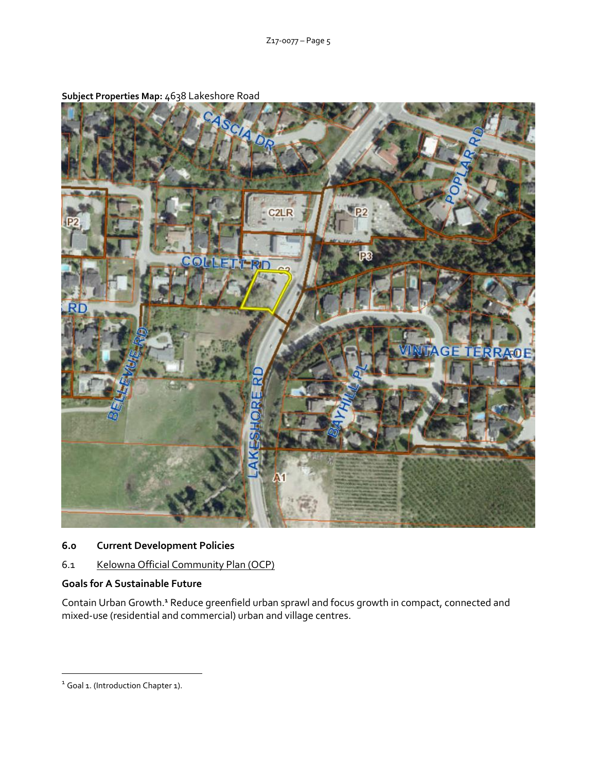

**Subject Properties Map:** 4638 Lakeshore Road

**6.0 Current Development Policies**

6.1 Kelowna Official Community Plan (OCP)

### **Goals for A Sustainable Future**

Contain Urban Growth.**<sup>1</sup>** Reduce greenfield urban sprawl and focus growth in compact, connected and mixed-use (residential and commercial) urban and village centres.

-

<sup>&</sup>lt;sup>1</sup> Goal 1. (Introduction Chapter 1).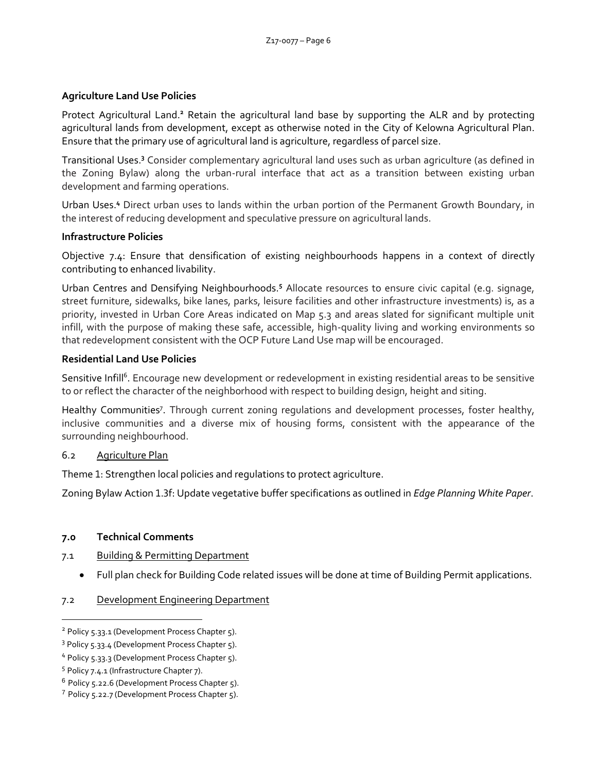### **Agriculture Land Use Policies**

Protect Agricultural Land.**<sup>2</sup>** Retain the agricultural land base by supporting the ALR and by protecting agricultural lands from development, except as otherwise noted in the City of Kelowna Agricultural Plan. Ensure that the primary use of agricultural land is agriculture, regardless of parcel size.

Transitional Uses.**<sup>3</sup>** Consider complementary agricultural land uses such as urban agriculture (as defined in the Zoning Bylaw) along the urban-rural interface that act as a transition between existing urban development and farming operations.

Urban Uses.**<sup>4</sup>** Direct urban uses to lands within the urban portion of the Permanent Growth Boundary, in the interest of reducing development and speculative pressure on agricultural lands.

### **Infrastructure Policies**

Objective 7.4: Ensure that densification of existing neighbourhoods happens in a context of directly contributing to enhanced livability.

Urban Centres and Densifying Neighbourhoods.**<sup>5</sup>** Allocate resources to ensure civic capital (e.g. signage, street furniture, sidewalks, bike lanes, parks, leisure facilities and other infrastructure investments) is, as a priority, invested in Urban Core Areas indicated on Map 5.3 and areas slated for significant multiple unit infill, with the purpose of making these safe, accessible, high-quality living and working environments so that redevelopment consistent with the OCP Future Land Use map will be encouraged.

### **Residential Land Use Policies**

Sensitive Infill<sup>6</sup>. Encourage new development or redevelopment in existing residential areas to be sensitive to or reflect the character of the neighborhood with respect to building design, height and siting.

Healthy Communities<sup>7</sup>. Through current zoning regulations and development processes, foster healthy, inclusive communities and a diverse mix of housing forms, consistent with the appearance of the surrounding neighbourhood.

### 6.2 Agriculture Plan

Theme 1: Strengthen local policies and regulations to protect agriculture.

Zoning Bylaw Action 1.3f: Update vegetative buffer specifications as outlined in *Edge Planning White Paper*.

# **7.0 Technical Comments**

- 7.1 Building & Permitting Department
	- Full plan check for Building Code related issues will be done at time of Building Permit applications.

### 7.2 Development Engineering Department

-

<sup>&</sup>lt;sup>2</sup> Policy 5.33.1 (Development Process Chapter 5).

<sup>&</sup>lt;sup>3</sup> Policy 5.33.4 (Development Process Chapter 5).

<sup>4</sup> Policy 5.33.3 (Development Process Chapter 5).

<sup>&</sup>lt;sup>5</sup> Policy 7.4.1 (Infrastructure Chapter 7).

<sup>6</sup> Policy 5.22.6 (Development Process Chapter 5).

<sup>&</sup>lt;sup>7</sup> Policy 5.22.7 (Development Process Chapter 5).